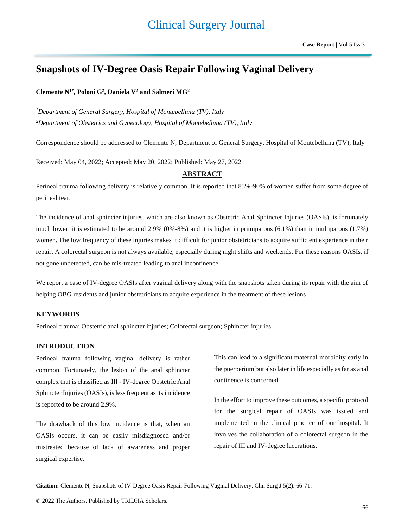# **Snapshots of IV-Degree Oasis Repair Following Vaginal Delivery**

**Clemente N1\*, Poloni G<sup>2</sup> , Daniela V<sup>2</sup> and Salmeri MG<sup>2</sup>**

*<sup>1</sup>Department of General Surgery, Hospital of Montebelluna (TV), Italy <sup>2</sup>Department of Obstetrics and Gynecology, Hospital of Montebelluna (TV), Italy*

Correspondence should be addressed to Clemente N, Department of General Surgery, Hospital of Montebelluna (TV), Italy

Received: May 04, 2022; Accepted: May 20, 2022; Published: May 27, 2022

## **ABSTRACT**

Perineal trauma following delivery is relatively common. It is reported that 85%-90% of women suffer from some degree of perineal tear.

The incidence of anal sphincter injuries, which are also known as Obstetric Anal Sphincter Injuries (OASIs), is fortunately much lower; it is estimated to be around 2.9% (0%-8%) and it is higher in primiparous (6.1%) than in multiparous (1.7%) women. The low frequency of these injuries makes it difficult for junior obstetricians to acquire sufficient experience in their repair. A colorectal surgeon is not always available, especially during night shifts and weekends. For these reasons OASIs, if not gone undetected, can be mis-treated leading to anal incontinence.

We report a case of IV-degree OASIs after vaginal delivery along with the snapshots taken during its repair with the aim of helping OBG residents and junior obstetricians to acquire experience in the treatment of these lesions.

### **KEYWORDS**

Perineal trauma; Obstetric anal sphincter injuries; Colorectal surgeon; Sphincter injuries

## **INTRODUCTION**

Perineal trauma following vaginal delivery is rather common. Fortunately, the lesion of the anal sphincter complex that is classified as III - IV-degree Obstetric Anal Sphincter Injuries (OASIs), is less frequent as its incidence is reported to be around 2.9%.

The drawback of this low incidence is that, when an OASIs occurs, it can be easily misdiagnosed and/or mistreated because of lack of awareness and proper surgical expertise.

This can lead to a significant maternal morbidity early in the puerperium but also later in life especially as far as anal continence is concerned.

In the effort to improve these outcomes, a specific protocol for the surgical repair of OASIs was issued and implemented in the clinical practice of our hospital. It involves the collaboration of a colorectal surgeon in the repair of III and IV-degree lacerations.

**Citation:** Clemente N, Snapshots of IV-Degree Oasis Repair Following Vaginal Delivery. Clin Surg J 5(2): 66-71.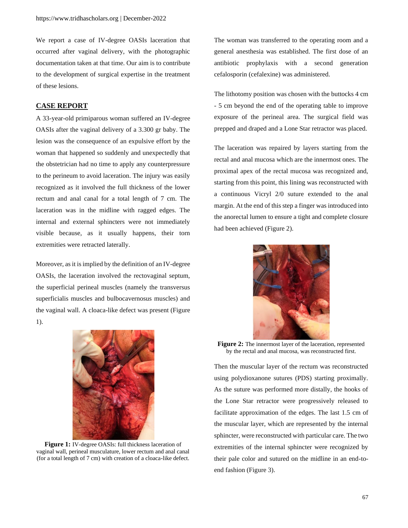We report a case of IV-degree OASIs laceration that occurred after vaginal delivery, with the photographic documentation taken at that time. Our aim is to contribute to the development of surgical expertise in the treatment of these lesions.

#### **CASE REPORT**

A 33-year-old primiparous woman suffered an IV-degree OASIs after the vaginal delivery of a 3.300 gr baby. The lesion was the consequence of an expulsive effort by the woman that happened so suddenly and unexpectedly that the obstetrician had no time to apply any counterpressure to the perineum to avoid laceration. The injury was easily recognized as it involved the full thickness of the lower rectum and anal canal for a total length of 7 cm. The laceration was in the midline with ragged edges. The internal and external sphincters were not immediately visible because, as it usually happens, their torn extremities were retracted laterally.

Moreover, as it is implied by the definition of an IV-degree OASIs, the laceration involved the rectovaginal septum, the superficial perineal muscles (namely the transversus superficialis muscles and bulbocavernosus muscles) and the vaginal wall. A cloaca-like defect was present (Figure 1).



**Figure 1:** IV-degree OASIs: full thickness laceration of vaginal wall, perineal musculature, lower rectum and anal canal (for a total length of 7 cm) with creation of a cloaca-like defect.

The woman was transferred to the operating room and a general anesthesia was established. The first dose of an antibiotic prophylaxis with a second generation cefalosporin (cefalexine) was administered.

The lithotomy position was chosen with the buttocks 4 cm - 5 cm beyond the end of the operating table to improve exposure of the perineal area. The surgical field was prepped and draped and a Lone Star retractor was placed.

The laceration was repaired by layers starting from the rectal and anal mucosa which are the innermost ones. The proximal apex of the rectal mucosa was recognized and, starting from this point, this lining was reconstructed with a continuous Vicryl 2/0 suture extended to the anal margin. At the end of this step a finger was introduced into the anorectal lumen to ensure a tight and complete closure had been achieved (Figure 2).



**Figure 2:** The innermost layer of the laceration, represented by the rectal and anal mucosa, was reconstructed first.

Then the muscular layer of the rectum was reconstructed using polydioxanone sutures (PDS) starting proximally. As the suture was performed more distally, the hooks of the Lone Star retractor were progressively released to facilitate approximation of the edges. The last 1.5 cm of the muscular layer, which are represented by the internal sphincter, were reconstructed with particular care. The two extremities of the internal sphincter were recognized by their pale color and sutured on the midline in an end-toend fashion (Figure 3).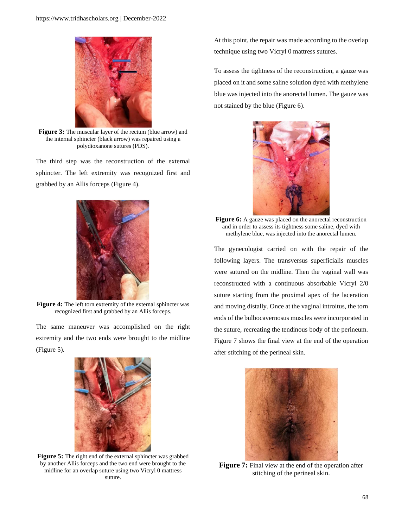

**Figure 3:** The muscular layer of the rectum (blue arrow) and the internal sphincter (black arrow) was repaired using a polydioxanone sutures (PDS).

The third step was the reconstruction of the external sphincter. The left extremity was recognized first and grabbed by an Allis forceps (Figure 4).



**Figure 4:** The left torn extremity of the external sphincter was recognized first and grabbed by an Allis forceps.

The same maneuver was accomplished on the right extremity and the two ends were brought to the midline (Figure 5).



**Figure 5:** The right end of the external sphincter was grabbed by another Allis forceps and the two end were brought to the midline for an overlap suture using two Vicryl 0 mattress suture.

At this point, the repair was made according to the overlap technique using two Vicryl 0 mattress sutures.

To assess the tightness of the reconstruction, a gauze was placed on it and some saline solution dyed with methylene blue was injected into the anorectal lumen. The gauze was not stained by the blue (Figure 6).



**Figure 6:** A gauze was placed on the anorectal reconstruction and in order to assess its tightness some saline, dyed with methylene blue, was injected into the anorectal lumen.

The gynecologist carried on with the repair of the following layers. The transversus superficialis muscles were sutured on the midline. Then the vaginal wall was reconstructed with a continuous absorbable Vicryl 2/0 suture starting from the proximal apex of the laceration and moving distally. Once at the vaginal introitus, the torn ends of the bulbocavernosus muscles were incorporated in the suture, recreating the tendinous body of the perineum. Figure 7 shows the final view at the end of the operation after stitching of the perineal skin.



**Figure 7:** Final view at the end of the operation after stitching of the perineal skin.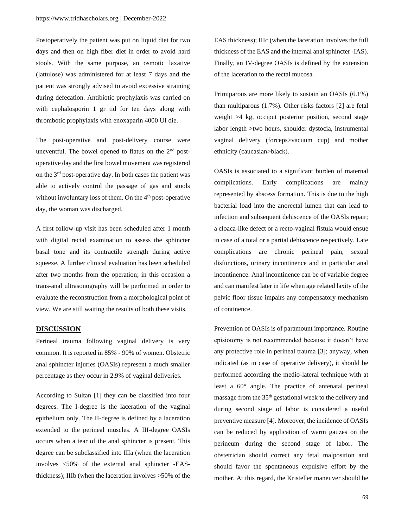Postoperatively the patient was put on liquid diet for two days and then on high fiber diet in order to avoid hard stools. With the same purpose, an osmotic laxative (lattulose) was administered for at least 7 days and the patient was strongly advised to avoid excessive straining during defecation. Antibiotic prophylaxis was carried on with cephalosporin 1 gr tid for ten days along with thrombotic prophylaxis with enoxaparin 4000 UI die.

The post-operative and post-delivery course were uneventful. The bowel opened to flatus on the  $2<sup>nd</sup>$  postoperative day and the first bowel movement was registered on the 3rd post-operative day. In both cases the patient was able to actively control the passage of gas and stools without involuntary loss of them. On the 4<sup>th</sup> post-operative day, the woman was discharged.

A first follow-up visit has been scheduled after 1 month with digital rectal examination to assess the sphincter basal tone and its contractile strength during active squeeze. A further clinical evaluation has been scheduled after two months from the operation; in this occasion a trans-anal ultrasonography will be performed in order to evaluate the reconstruction from a morphological point of view. We are still waiting the results of both these visits.

#### **DISCUSSION**

Perineal trauma following vaginal delivery is very common. It is reported in 85% - 90% of women. Obstetric anal sphincter injuries (OASIs) represent a much smaller percentage as they occur in 2.9% of vaginal deliveries.

According to Sultan [1] they can be classified into four degrees. The I-degree is the laceration of the vaginal epithelium only. The II-degree is defined by a laceration extended to the perineal muscles. A III-degree OASIs occurs when a tear of the anal sphincter is present. This degree can be subclassified into IIIa (when the laceration involves <50% of the external anal sphincter -EASthickness); IIIb (when the laceration involves >50% of the

EAS thickness); IIIc (when the laceration involves the full thickness of the EAS and the internal anal sphincter -IAS). Finally, an IV-degree OASIs is defined by the extension of the laceration to the rectal mucosa.

Primiparous are more likely to sustain an OASIs (6.1%) than multiparous (1.7%). Other risks factors [2] are fetal weight >4 kg, occiput posterior position, second stage labor length >two hours, shoulder dystocia, instrumental vaginal delivery (forceps>vacuum cup) and mother ethnicity (caucasian>black).

OASIs is associated to a significant burden of maternal complications. Early complications are mainly represented by abscess formation. This is due to the high bacterial load into the anorectal lumen that can lead to infection and subsequent dehiscence of the OASIs repair; a cloaca-like defect or a recto-vaginal fistula would ensue in case of a total or a partial dehiscence respectively. Late complications are chronic perineal pain, sexual disfunctions, urinary incontinence and in particular anal incontinence. Anal incontinence can be of variable degree and can manifest later in life when age related laxity of the pelvic floor tissue impairs any compensatory mechanism of continence.

Prevention of OASIs is of paramount importance. Routine episiotomy is not recommended because it doesn't have any protective role in perineal trauma [3]; anyway, when indicated (as in case of operative delivery), it should be performed according the medio-lateral technique with at least a 60° angle. The practice of antenatal perineal massage from the 35th gestational week to the delivery and during second stage of labor is considered a useful preventive measure [4]. Moreover, the incidence of OASIs can be reduced by application of warm gauzes on the perineum during the second stage of labor. The obstetrician should correct any fetal malposition and should favor the spontaneous expulsive effort by the mother. At this regard, the Kristeller maneuver should be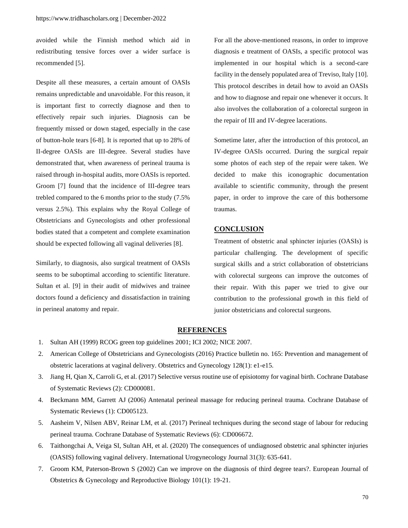avoided while the Finnish method which aid in redistributing tensive forces over a wider surface is recommended [5].

Despite all these measures, a certain amount of OASIs remains unpredictable and unavoidable. For this reason, it is important first to correctly diagnose and then to effectively repair such injuries. Diagnosis can be frequently missed or down staged, especially in the case of button-hole tears [6-8]. It is reported that up to 28% of II-degree OASIs are III-degree. Several studies have demonstrated that, when awareness of perineal trauma is raised through in-hospital audits, more OASIs is reported. Groom [7] found that the incidence of III-degree tears trebled compared to the 6 months prior to the study (7.5% versus 2.5%). This explains why the Royal College of Obstetricians and Gynecologists and other professional bodies stated that a competent and complete examination should be expected following all vaginal deliveries [8].

Similarly, to diagnosis, also surgical treatment of OASIs seems to be suboptimal according to scientific literature. Sultan et al. [9] in their audit of midwives and trainee doctors found a deficiency and dissatisfaction in training in perineal anatomy and repair.

For all the above-mentioned reasons, in order to improve diagnosis e treatment of OASIs, a specific protocol was implemented in our hospital which is a second-care facility in the densely populated area of Treviso, Italy [10]. This protocol describes in detail how to avoid an OASIs and how to diagnose and repair one whenever it occurs. It also involves the collaboration of a colorectal surgeon in the repair of III and IV-degree lacerations.

Sometime later, after the introduction of this protocol, an IV-degree OASIs occurred. During the surgical repair some photos of each step of the repair were taken. We decided to make this iconographic documentation available to scientific community, through the present paper, in order to improve the care of this bothersome traumas.

### **CONCLUSION**

Treatment of obstetric anal sphincter injuries (OASIs) is particular challenging. The development of specific surgical skills and a strict collaboration of obstetricians with colorectal surgeons can improve the outcomes of their repair. With this paper we tried to give our contribution to the professional growth in this field of junior obstetricians and colorectal surgeons.

#### **REFERENCES**

- 1. [Sultan AH \(1999\) RCOG green top guidelines 2001; ICI 2002; NICE 2007.](https://www.rcog.org.uk/guidance/browse-all-guidance/green-top-guidelines/birth-after-previous-caesarean-birth-green-top-guideline-no-45/)
- 2. [American College of Obstetricians and Gynecologists \(2016\) Practice bulletin no. 165: Prevention and management of](https://pubmed.ncbi.nlm.nih.gov/27333357/)  [obstetric lacerations at vaginal delivery. Obstetrics and Gynecology 128\(1\): e1-e15.](https://pubmed.ncbi.nlm.nih.gov/27333357/)
- 3. [Jiang H, Qian X, Carroli G, et al. \(2017\) Selective versus routine use of episiotomy for vaginal birth. Cochrane Database](https://www.cochranelibrary.com/cdsr/doi/10.1002/14651858.CD000081.pub3/abstract)  [of Systematic Reviews \(2\): CD000081.](https://www.cochranelibrary.com/cdsr/doi/10.1002/14651858.CD000081.pub3/abstract)
- 4. [Beckmann MM, Garrett AJ \(2006\) Antenatal perineal massage for reducing perineal trauma. Cochrane Database of](https://www.cochranelibrary.com/cdsr/doi/10.1002/14651858.CD005123.pub2/abstract)  [Systematic Reviews \(1\): CD005123.](https://www.cochranelibrary.com/cdsr/doi/10.1002/14651858.CD005123.pub2/abstract)
- 5. [Aasheim V, Nilsen ABV, Reinar LM, et al. \(2017\) Perineal techniques during the second stage of labour for reducing](https://www.cochranelibrary.com/cdsr/doi/10.1002/14651858.CD006672.pub3/abstract)  [perineal trauma. Cochrane Database of Systematic Reviews \(6\): CD006672.](https://www.cochranelibrary.com/cdsr/doi/10.1002/14651858.CD006672.pub3/abstract)
- 6. [Taithongchai A, Veiga SI, Sultan AH, et al. \(2020\) The consequences of undiagnosed obstetric anal sphincter injuries](https://link.springer.com/article/10.1007/s00192-019-04033-5)  [\(OASIS\) following vaginal delivery. International Urogynecology Journal 31\(3\): 635-641.](https://link.springer.com/article/10.1007/s00192-019-04033-5)
- 7. [Groom KM, Paterson-Brown S \(2002\) Can we improve on the diagnosis of third degree tears?. European Journal of](https://www.sciencedirect.com/science/article/pii/S030121150100495X)  [Obstetrics & Gynecology and Reproductive Biology 101\(1\): 19-21.](https://www.sciencedirect.com/science/article/pii/S030121150100495X)